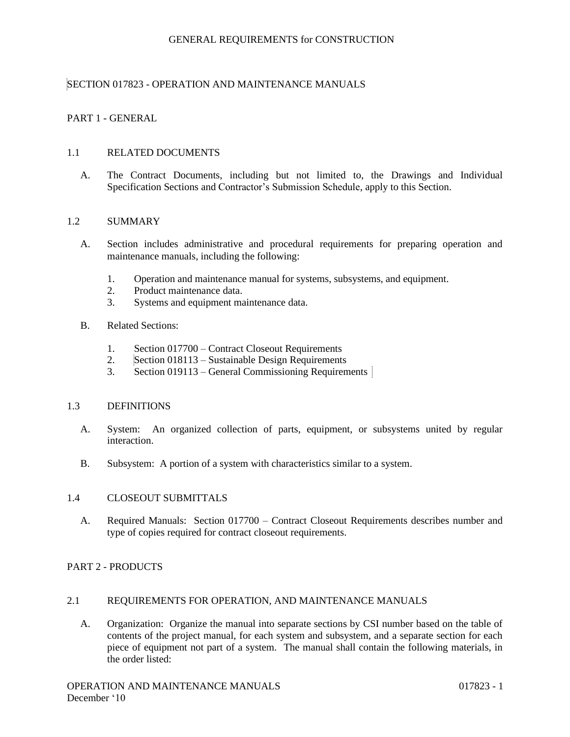# SECTION 017823 - OPERATION AND MAINTENANCE MANUALS

# PART 1 - GENERAL

#### 1.1 RELATED DOCUMENTS

A. The Contract Documents, including but not limited to, the Drawings and Individual Specification Sections and Contractor's Submission Schedule, apply to this Section.

#### 1.2 SUMMARY

- A. Section includes administrative and procedural requirements for preparing operation and maintenance manuals, including the following:
	- 1. Operation and maintenance manual for systems, subsystems, and equipment.
	- 2. Product maintenance data.
	- 3. Systems and equipment maintenance data.
- B. Related Sections:
	- 1. Section 017700 Contract Closeout Requirements
	- 2. Section 018113 Sustainable Design Requirements
	- 3. Section 019113 General Commissioning Requirements

#### 1.3 DEFINITIONS

- A. System: An organized collection of parts, equipment, or subsystems united by regular interaction.
- B. Subsystem: A portion of a system with characteristics similar to a system.

#### 1.4 CLOSEOUT SUBMITTALS

A. Required Manuals: Section 017700 – Contract Closeout Requirements describes number and type of copies required for contract closeout requirements.

#### PART 2 - PRODUCTS

### 2.1 REQUIREMENTS FOR OPERATION, AND MAINTENANCE MANUALS

A. Organization: Organize the manual into separate sections by CSI number based on the table of contents of the project manual, for each system and subsystem, and a separate section for each piece of equipment not part of a system. The manual shall contain the following materials, in the order listed: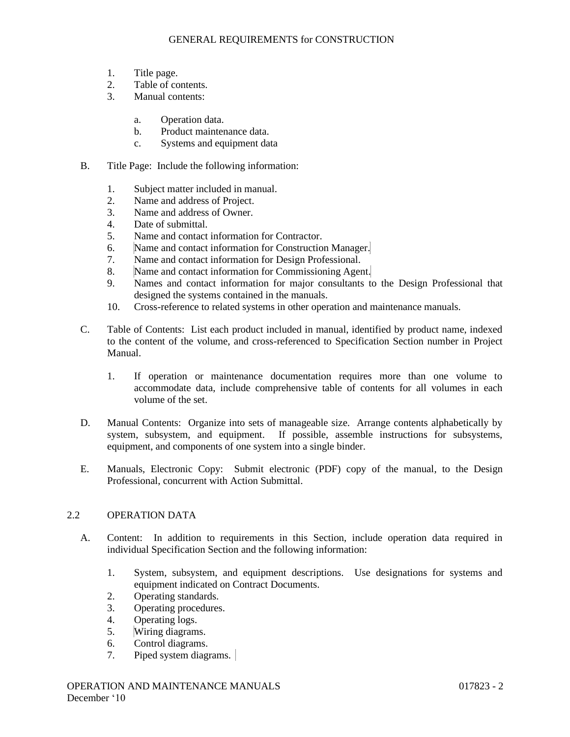- 1. Title page.
- 2. Table of contents.
- 3. Manual contents:
	- a. Operation data.
	- b. Product maintenance data.
	- c. Systems and equipment data
- B. Title Page: Include the following information:
	- 1. Subject matter included in manual.
	- 2. Name and address of Project.
	- 3. Name and address of Owner.
	- 4. Date of submittal.
	- 5. Name and contact information for Contractor.
	- 6. Name and contact information for Construction Manager.
	- 7. Name and contact information for Design Professional.
	- 8. Name and contact information for Commissioning Agent.
	- 9. Names and contact information for major consultants to the Design Professional that designed the systems contained in the manuals.
	- 10. Cross-reference to related systems in other operation and maintenance manuals.
- C. Table of Contents: List each product included in manual, identified by product name, indexed to the content of the volume, and cross-referenced to Specification Section number in Project Manual.
	- 1. If operation or maintenance documentation requires more than one volume to accommodate data, include comprehensive table of contents for all volumes in each volume of the set.
- D. Manual Contents: Organize into sets of manageable size. Arrange contents alphabetically by system, subsystem, and equipment. If possible, assemble instructions for subsystems, equipment, and components of one system into a single binder.
- E. Manuals, Electronic Copy: Submit electronic (PDF) copy of the manual, to the Design Professional, concurrent with Action Submittal.

# 2.2 OPERATION DATA

- A. Content: In addition to requirements in this Section, include operation data required in individual Specification Section and the following information:
	- 1. System, subsystem, and equipment descriptions. Use designations for systems and equipment indicated on Contract Documents.
	- 2. Operating standards.
	- 3. Operating procedures.
	- 4. Operating logs.
	- 5. Wiring diagrams.
	- 6. Control diagrams.
	- 7. Piped system diagrams.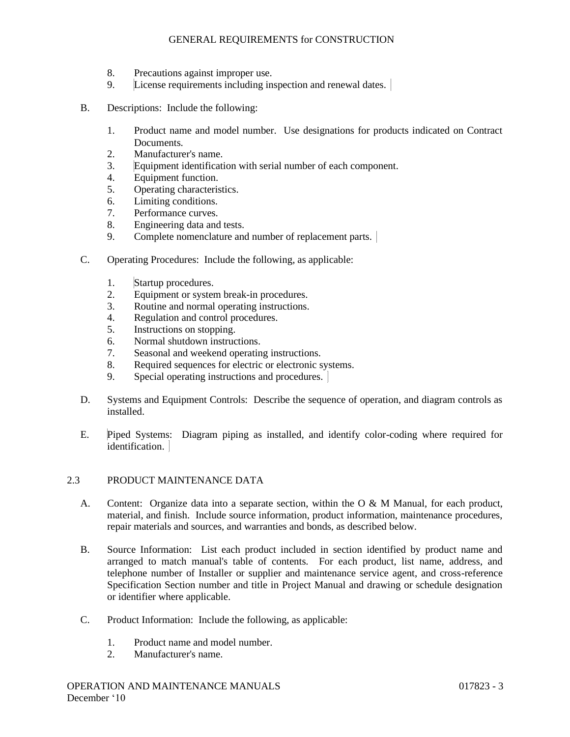- 8. Precautions against improper use.
- 9. License requirements including inspection and renewal dates.
- B. Descriptions: Include the following:
	- 1. Product name and model number. Use designations for products indicated on Contract Documents.
	- 2. Manufacturer's name.
	- 3. Equipment identification with serial number of each component.
	- 4. Equipment function.
	- 5. Operating characteristics.
	- 6. Limiting conditions.
	- 7. Performance curves.
	- 8. Engineering data and tests.
	- 9. Complete nomenclature and number of replacement parts.
- C. Operating Procedures: Include the following, as applicable:
	- 1. Startup procedures.
	- 2. Equipment or system break-in procedures.
	- 3. Routine and normal operating instructions.
	- 4. Regulation and control procedures.
	- 5. Instructions on stopping.
	- 6. Normal shutdown instructions.
	- 7. Seasonal and weekend operating instructions.
	- 8. Required sequences for electric or electronic systems.
	- 9. Special operating instructions and procedures.
- D. Systems and Equipment Controls: Describe the sequence of operation, and diagram controls as installed.
- E. Piped Systems: Diagram piping as installed, and identify color-coding where required for identification.

# 2.3 PRODUCT MAINTENANCE DATA

- A. Content: Organize data into a separate section, within the O & M Manual, for each product, material, and finish. Include source information, product information, maintenance procedures, repair materials and sources, and warranties and bonds, as described below.
- B. Source Information: List each product included in section identified by product name and arranged to match manual's table of contents. For each product, list name, address, and telephone number of Installer or supplier and maintenance service agent, and cross-reference Specification Section number and title in Project Manual and drawing or schedule designation or identifier where applicable.
- C. Product Information: Include the following, as applicable:
	- 1. Product name and model number.
	- 2. Manufacturer's name.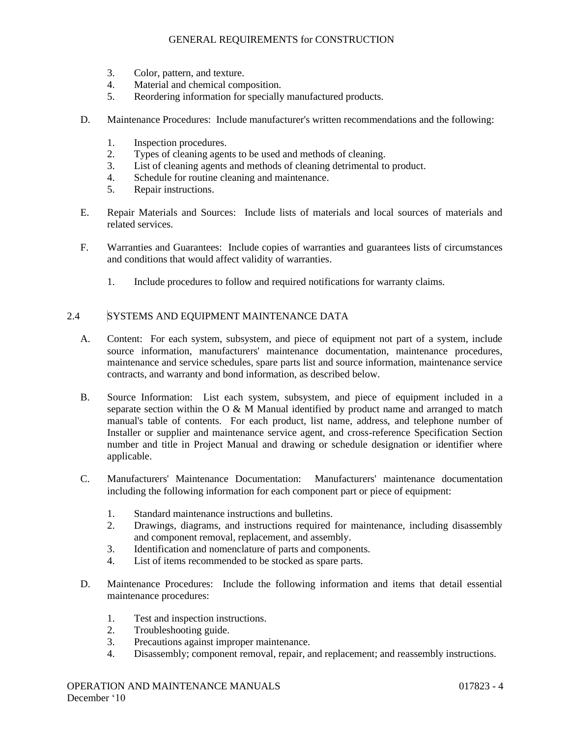- 3. Color, pattern, and texture.
- 4. Material and chemical composition.
- 5. Reordering information for specially manufactured products.
- D. Maintenance Procedures: Include manufacturer's written recommendations and the following:
	- 1. Inspection procedures.
	- 2. Types of cleaning agents to be used and methods of cleaning.
	- 3. List of cleaning agents and methods of cleaning detrimental to product.
	- 4. Schedule for routine cleaning and maintenance.
	- 5. Repair instructions.
- E. Repair Materials and Sources: Include lists of materials and local sources of materials and related services.
- F. Warranties and Guarantees: Include copies of warranties and guarantees lists of circumstances and conditions that would affect validity of warranties.
	- 1. Include procedures to follow and required notifications for warranty claims.

#### 2.4 SYSTEMS AND EQUIPMENT MAINTENANCE DATA

- A. Content: For each system, subsystem, and piece of equipment not part of a system, include source information, manufacturers' maintenance documentation, maintenance procedures, maintenance and service schedules, spare parts list and source information, maintenance service contracts, and warranty and bond information, as described below.
- B. Source Information: List each system, subsystem, and piece of equipment included in a separate section within the O & M Manual identified by product name and arranged to match manual's table of contents. For each product, list name, address, and telephone number of Installer or supplier and maintenance service agent, and cross-reference Specification Section number and title in Project Manual and drawing or schedule designation or identifier where applicable.
- C. Manufacturers' Maintenance Documentation: Manufacturers' maintenance documentation including the following information for each component part or piece of equipment:
	- 1. Standard maintenance instructions and bulletins.
	- 2. Drawings, diagrams, and instructions required for maintenance, including disassembly and component removal, replacement, and assembly.
	- 3. Identification and nomenclature of parts and components.
	- 4. List of items recommended to be stocked as spare parts.
- D. Maintenance Procedures: Include the following information and items that detail essential maintenance procedures:
	- 1. Test and inspection instructions.
	- 2. Troubleshooting guide.
	- 3. Precautions against improper maintenance.
	- 4. Disassembly; component removal, repair, and replacement; and reassembly instructions.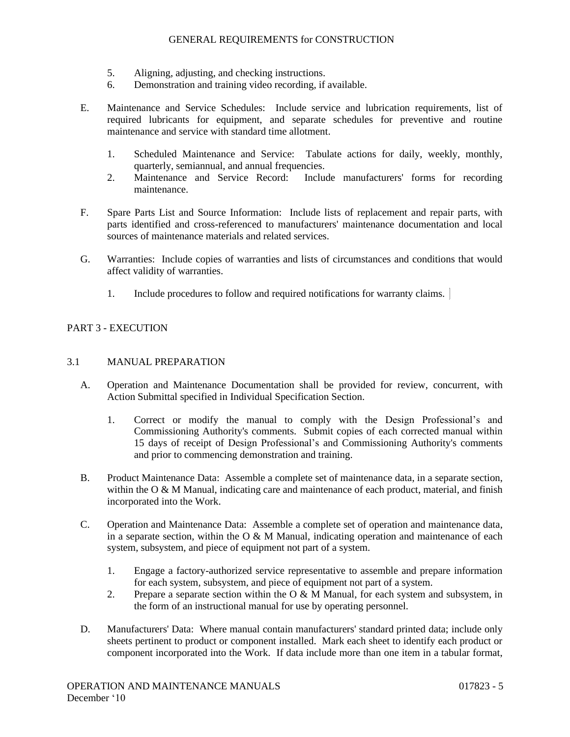- 5. Aligning, adjusting, and checking instructions.
- 6. Demonstration and training video recording, if available.
- E. Maintenance and Service Schedules: Include service and lubrication requirements, list of required lubricants for equipment, and separate schedules for preventive and routine maintenance and service with standard time allotment.
	- 1. Scheduled Maintenance and Service: Tabulate actions for daily, weekly, monthly, quarterly, semiannual, and annual frequencies.
	- 2. Maintenance and Service Record: Include manufacturers' forms for recording maintenance.
- F. Spare Parts List and Source Information: Include lists of replacement and repair parts, with parts identified and cross-referenced to manufacturers' maintenance documentation and local sources of maintenance materials and related services.
- G. Warranties: Include copies of warranties and lists of circumstances and conditions that would affect validity of warranties.
	- 1. Include procedures to follow and required notifications for warranty claims.

# PART 3 - EXECUTION

#### 3.1 MANUAL PREPARATION

- A. Operation and Maintenance Documentation shall be provided for review, concurrent, with Action Submittal specified in Individual Specification Section.
	- 1. Correct or modify the manual to comply with the Design Professional's and Commissioning Authority's comments. Submit copies of each corrected manual within 15 days of receipt of Design Professional's and Commissioning Authority's comments and prior to commencing demonstration and training.
- B. Product Maintenance Data: Assemble a complete set of maintenance data, in a separate section, within the  $O & M$  Manual, indicating care and maintenance of each product, material, and finish incorporated into the Work.
- C. Operation and Maintenance Data: Assemble a complete set of operation and maintenance data, in a separate section, within the  $O & M$  Manual, indicating operation and maintenance of each system, subsystem, and piece of equipment not part of a system.
	- 1. Engage a factory-authorized service representative to assemble and prepare information for each system, subsystem, and piece of equipment not part of a system.
	- 2. Prepare a separate section within the  $O & M$  Manual, for each system and subsystem, in the form of an instructional manual for use by operating personnel.
- D. Manufacturers' Data: Where manual contain manufacturers' standard printed data; include only sheets pertinent to product or component installed. Mark each sheet to identify each product or component incorporated into the Work. If data include more than one item in a tabular format,